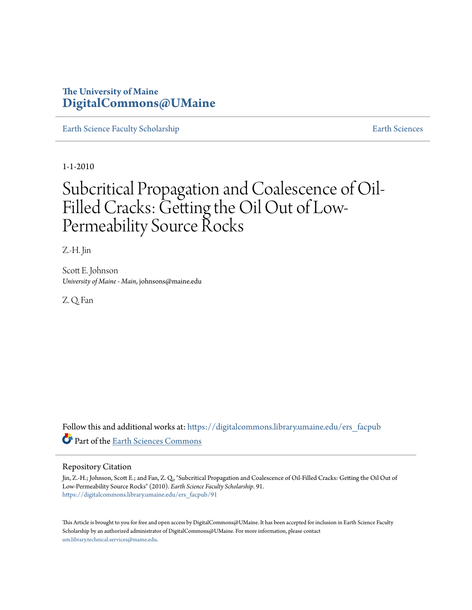# **The University of Maine [DigitalCommons@UMaine](https://digitalcommons.library.umaine.edu?utm_source=digitalcommons.library.umaine.edu%2Fers_facpub%2F91&utm_medium=PDF&utm_campaign=PDFCoverPages)**

[Earth Science Faculty Scholarship](https://digitalcommons.library.umaine.edu/ers_facpub?utm_source=digitalcommons.library.umaine.edu%2Fers_facpub%2F91&utm_medium=PDF&utm_campaign=PDFCoverPages) **[Earth Sciences](https://digitalcommons.library.umaine.edu/ers?utm_source=digitalcommons.library.umaine.edu%2Fers_facpub%2F91&utm_medium=PDF&utm_campaign=PDFCoverPages)** 

1-1-2010

# Subcritical Propagation and Coalescence of Oil-Filled Cracks: Getting the Oil Out of Low-Permeability Source Rocks

Z.-H. Jin

Scott E. Johnson *University of Maine - Main*, johnsons@maine.edu

Z. Q. Fan

Follow this and additional works at: [https://digitalcommons.library.umaine.edu/ers\\_facpub](https://digitalcommons.library.umaine.edu/ers_facpub?utm_source=digitalcommons.library.umaine.edu%2Fers_facpub%2F91&utm_medium=PDF&utm_campaign=PDFCoverPages) Part of the [Earth Sciences Commons](http://network.bepress.com/hgg/discipline/153?utm_source=digitalcommons.library.umaine.edu%2Fers_facpub%2F91&utm_medium=PDF&utm_campaign=PDFCoverPages)

# Repository Citation

Jin, Z.-H.; Johnson, Scott E.; and Fan, Z. Q., "Subcritical Propagation and Coalescence of Oil-Filled Cracks: Getting the Oil Out of Low-Permeability Source Rocks" (2010). *Earth Science Faculty Scholarship*. 91. [https://digitalcommons.library.umaine.edu/ers\\_facpub/91](https://digitalcommons.library.umaine.edu/ers_facpub/91?utm_source=digitalcommons.library.umaine.edu%2Fers_facpub%2F91&utm_medium=PDF&utm_campaign=PDFCoverPages)

This Article is brought to you for free and open access by DigitalCommons@UMaine. It has been accepted for inclusion in Earth Science Faculty Scholarship by an authorized administrator of DigitalCommons@UMaine. For more information, please contact [um.library.technical.services@maine.edu](mailto:um.library.technical.services@maine.edu).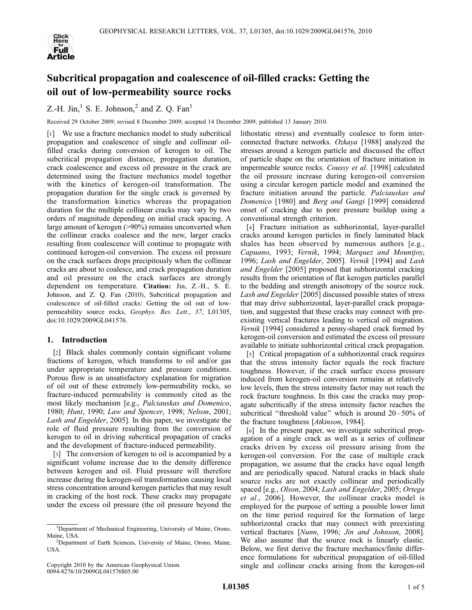

# Subcritical propagation and coalescence of oil-filled cracks: Getting the oil out of low-permeability source rocks

Z.-H. Jin, $<sup>1</sup>$  S. E. Johnson, $<sup>2</sup>$  and Z. O. Fan<sup>1</sup></sup></sup>

Received 29 October 2009; revised 8 December 2009; accepted 14 December 2009; published 13 January 2010.

[1] We use a fracture mechanics model to study subcritical propagation and coalescence of single and collinear oilfilled cracks during conversion of kerogen to oil. The subcritical propagation distance, propagation duration, crack coalescence and excess oil pressure in the crack are determined using the fracture mechanics model together with the kinetics of kerogen-oil transformation. The propagation duration for the single crack is governed by the transformation kinetics whereas the propagation duration for the multiple collinear cracks may vary by two orders of magnitude depending on initial crack spacing. A large amount of kerogen (>90%) remains unconverted when the collinear cracks coalesce and the new, larger cracks resulting from coalescence will continue to propagate with continued kerogen-oil conversion. The excess oil pressure on the crack surfaces drops precipitously when the collinear cracks are about to coalesce, and crack propagation duration and oil pressure on the crack surfaces are strongly dependent on temperature. Citation: Jin, Z.-H., S. E. Johnson, and Z. Q. Fan (2010), Subcritical propagation and coalescence of oil-filled cracks: Getting the oil out of lowpermeability source rocks, Geophys. Res. Lett., 37, L01305, doi:10.1029/2009GL041576.

# 1. Introduction

[2] Black shales commonly contain significant volume fractions of kerogen, which transforms to oil and/or gas under appropriate temperature and pressure conditions. Porous flow is an unsatisfactory explanation for migration of oil out of these extremely low-permeability rocks, so fracture-induced permeability is commonly cited as the most likely mechanism [e.g., Palciauskas and Domenico, 1980; Hunt, 1990; Law and Spencer, 1998; Nelson, 2001; Lash and Engelder, 2005]. In this paper, we investigate the role of fluid pressure resulting from the conversion of kerogen to oil in driving subcritical propagation of cracks and the development of fracture-induced permeability.

[3] The conversion of kerogen to oil is accompanied by a significant volume increase due to the density difference between kerogen and oil. Fluid pressure will therefore increase during the kerogen-oil transformation causing local stress concentration around kerogen particles that may result in cracking of the host rock. These cracks may propagate under the excess oil pressure (the oil pressure beyond the

lithostatic stress) and eventually coalesce to form interconnected fracture networks. Ozkaya [1988] analyzed the stresses around a kerogen particle and discussed the effect of particle shape on the orientation of fracture initiation in impermeable source rocks. Coussy et al. [1998] calculated the oil pressure increase during kerogen-oil conversion using a circular kerogen particle model and examined the fracture initiation around the particle. Palciauskas and Domenico [1980] and Berg and Gangi [1999] considered onset of cracking due to pore pressure buildup using a conventional strength criterion.

[4] Fracture initiation as subhorizontal, layer-parallel cracks around kerogen particles in finely laminated black shales has been observed by numerous authors [e.g., Capuano, 1993; Vernik, 1994; Marquez and Mountjoy, 1996; Lash and Engelder, 2005]. Vernik [1994] and Lash and Engelder [2005] proposed that subhorizontal cracking results from the orientation of flat kerogen particles parallel to the bedding and strength anisotropy of the source rock. Lash and Engelder [2005] discussed possible states of stress that may drive subhorizontal, layer-parallel crack propagation, and suggested that these cracks may connect with preexisting vertical fractures leading to vertical oil migration. Vernik [1994] considered a penny-shaped crack formed by kerogen-oil conversion and estimated the excess oil pressure available to initiate subhorizontal critical crack propagation.

[5] Critical propagation of a subhorizontal crack requires that the stress intensity factor equals the rock fracture toughness. However, if the crack surface excess pressure induced from kerogen-oil conversion remains at relatively low levels, then the stress intensity factor may not reach the rock fracture toughness. In this case the cracks may propagate subcritically if the stress intensity factor reaches the subcritical "threshold value" which is around 20–50% of the fracture toughness [Atkinson, 1984].

[6] In the present paper, we investigate subcritical propagation of a single crack as well as a series of collinear cracks driven by excess oil pressure arising from the kerogen-oil conversion. For the case of multiple crack propagation, we assume that the cracks have equal length and are periodically spaced. Natural cracks in black shale source rocks are not exactly collinear and periodically spaced [e.g., Olson, 2004; Lash and Engelder, 2005; Ortega et al., 2006]. However, the collinear cracks model is employed for the purpose of setting a possible lower limit on the time period required for the formation of large subhorizontal cracks that may connect with preexisting vertical fractures [Nunn, 1996; Jin and Johnson, 2008]. We also assume that the source rock is linearly elastic. Below, we first derive the fracture mechanics/finite difference formulations for subcritical propagation of oil-filled single and collinear cracks arising from the kerogen-oil

<sup>&</sup>lt;sup>1</sup>Department of Mechanical Engineering, University of Maine, Orono, Maine, USA. <sup>2</sup>

<sup>&</sup>lt;sup>2</sup>Department of Earth Sciences, University of Maine, Orono, Maine, USA.

Copyright 2010 by the American Geophysical Union. 0094-8276/10/2009GL041576\$05.00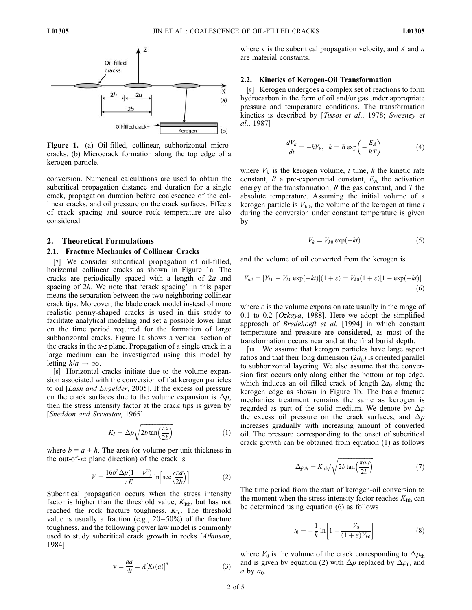

Figure 1. (a) Oil-filled, collinear, subhorizontal microcracks. (b) Microcrack formation along the top edge of a kerogen particle.

conversion. Numerical calculations are used to obtain the subcritical propagation distance and duration for a single crack, propagation duration before coalescence of the collinear cracks, and oil pressure on the crack surfaces. Effects of crack spacing and source rock temperature are also considered.

### 2. Theoretical Formulations

#### 2.1. Fracture Mechanics of Collinear Cracks

[7] We consider subcritical propagation of oil-filled, horizontal collinear cracks as shown in Figure 1a. The cracks are periodically spaced with a length of  $2a$  and spacing of 2h. We note that 'crack spacing' in this paper means the separation between the two neighboring collinear crack tips. Moreover, the blade crack model instead of more realistic penny-shaped cracks is used in this study to facilitate analytical modeling and set a possible lower limit on the time period required for the formation of large subhorizontal cracks. Figure 1a shows a vertical section of the cracks in the  $x$ -z plane. Propagation of a single crack in a large medium can be investigated using this model by letting  $h/a \rightarrow \infty$ .

[8] Horizontal cracks initiate due to the volume expansion associated with the conversion of flat kerogen particles to oil [Lash and Engelder, 2005]. If the excess oil pressure on the crack surfaces due to the volume expansion is  $\Delta p$ , then the stress intensity factor at the crack tips is given by [Sneddon and Srivastav, 1965]

$$
K_I = \Delta p \sqrt{2b \tan \left(\frac{\pi a}{2b}\right)}\tag{1}
$$

where  $b = a + h$ . The area (or volume per unit thickness in the out-of-xz plane direction) of the crack is

$$
V = \frac{16b^2 \Delta p (1 - \nu^2)}{\pi E} \ln \left[ \sec \left( \frac{\pi a}{2b} \right) \right]
$$
 (2)

Subcritical propagation occurs when the stress intensity factor is higher than the threshold value,  $K<sub>I</sub>th$ , but has not reached the rock fracture toughness,  $K_{\text{Ic}}$ . The threshold value is usually a fraction (e.g.,  $20-50%$ ) of the fracture toughness, and the following power law model is commonly used to study subcritical crack growth in rocks [Atkinson, 1984]

$$
v = \frac{da}{dt} = A[K_I(a)]^n \tag{3}
$$

where v is the subcritical propagation velocity, and A and  $n$ are material constants.

## 2.2. Kinetics of Kerogen-Oil Transformation

[9] Kerogen undergoes a complex set of reactions to form hydrocarbon in the form of oil and/or gas under appropriate pressure and temperature conditions. The transformation kinetics is described by [Tissot et al., 1978; Sweeney et al., 1987]

$$
\frac{dV_k}{dt} = -kV_k, \quad k = B\exp\left(-\frac{E_A}{RT}\right) \tag{4}
$$

where  $V_k$  is the kerogen volume, t time, k the kinetic rate constant,  $B$  a pre-exponential constant,  $E_A$  the activation energy of the transformation,  $R$  the gas constant, and  $T$  the absolute temperature. Assuming the initial volume of a kerogen particle is  $V_{k0}$ , the volume of the kerogen at time t during the conversion under constant temperature is given by

$$
V_k = V_{k0} \exp(-kt) \tag{5}
$$

and the volume of oil converted from the kerogen is

$$
V_{oil} = [V_{k0} - V_{k0} \exp(-kt)](1 + \varepsilon) = V_{k0}(1 + \varepsilon)[1 - \exp(-kt)]
$$
\n(6)

where  $\varepsilon$  is the volume expansion rate usually in the range of 0.1 to 0.2  $[Ozkaya, 1988]$ . Here we adopt the simplified approach of Bredehoeft et al. [1994] in which constant temperature and pressure are considered, as most of the transformation occurs near and at the final burial depth.

[10] We assume that kerogen particles have large aspect ratios and that their long dimension  $(2a_0)$  is oriented parallel to subhorizontal layering. We also assume that the conversion first occurs only along either the bottom or top edge, which induces an oil filled crack of length  $2a_0$  along the kerogen edge as shown in Figure 1b. The basic fracture mechanics treatment remains the same as kerogen is regarded as part of the solid medium. We denote by  $\Delta p$ the excess oil pressure on the crack surfaces, and  $\Delta p$ increases gradually with increasing amount of converted oil. The pressure corresponding to the onset of subcritical crack growth can be obtained from equation (1) as follows

$$
\Delta p_{th} = K_{1th} / \sqrt{2b \tan\left(\frac{\pi a_0}{2b}\right)}\tag{7}
$$

The time period from the start of kerogen-oil conversion to the moment when the stress intensity factor reaches  $K<sub>I</sub>th$  can be determined using equation (6) as follows

$$
t_0 = -\frac{1}{k} \ln \left[ 1 - \frac{V_0}{(1+\varepsilon)V_{k0}} \right] \tag{8}
$$

where  $V_0$  is the volume of the crack corresponding to  $\Delta p_{\text{th}}$ and is given by equation (2) with  $\Delta p$  replaced by  $\Delta p_{th}$  and a by  $a_0$ .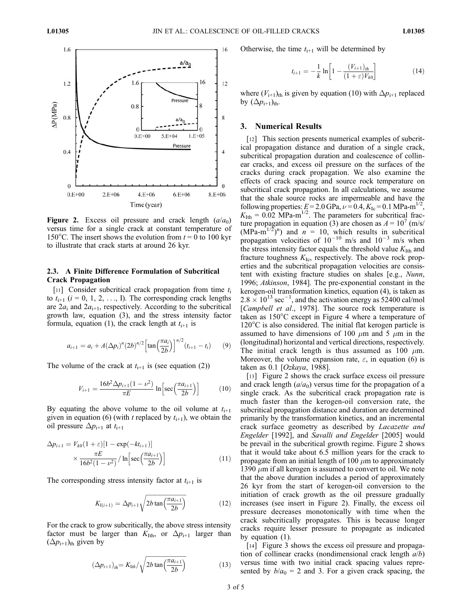

Figure 2. Excess oil pressure and crack length  $(a/a<sub>0</sub>)$ versus time for a single crack at constant temperature of 150°C. The insert shows the evolution from  $t = 0$  to 100 kyr to illustrate that crack starts at around 26 kyr.

# 2.3. A Finite Difference Formulation of Subcritical Crack Propagation

[11] Consider subcritical crack propagation from time  $t_i$ to  $t_{i+1}$  ( $i = 0, 1, 2, \ldots, I$ ). The corresponding crack lengths are  $2a_i$  and  $2a_{i+1}$ , respectively. According to the subcritical growth law, equation (3), and the stress intensity factor formula, equation (1), the crack length at  $t_{i+1}$  is

$$
a_{i+1} = a_i + A(\Delta p_i)^n (2b)^{n/2} \left[ \tan \left( \frac{\pi a_i}{2b} \right) \right]^{n/2} (t_{i+1} - t_i) \tag{9}
$$

The volume of the crack at  $t_{i+1}$  is (see equation (2))

$$
V_{i+1} = \frac{16b^2 \Delta p_{i+1} (1 - \nu^2)}{\pi E} \ln \left[ \sec \left( \frac{\pi a_{i+1}}{2b} \right) \right]
$$
 (10)

By equating the above volume to the oil volume at  $t_{i+1}$ given in equation (6) (with t replaced by  $t_{i+1}$ ), we obtain the oil pressure  $\Delta p_{i+1}$  at  $t_{i+1}$ 

$$
\Delta p_{i+1} = V_{k0}(1+\varepsilon)[1-\exp(-kt_{i+1})]
$$

$$
\times \frac{\pi E}{16b^2(1-\nu^2)} / \ln\left[\sec\left(\frac{\pi a_{i+1}}{2b}\right)\right]
$$
(11)

The corresponding stress intensity factor at  $t_{i+1}$  is

$$
K_{I(i+1)} = \Delta p_{i+1} \sqrt{2b \tan \left(\frac{\pi a_{i+1}}{2b}\right)} \tag{12}
$$

For the crack to grow subcritically, the above stress intensity factor must be larger than  $K_{\text{Ith}}$ , or  $\Delta p_{i+1}$  larger than  $(\Delta p_{i+1})$ <sub>th</sub> given by

$$
\left(\Delta p_{i+1}\right)_{th} = K_{1th}/\sqrt{2b\tan\left(\frac{\pi a_{i+1}}{2b}\right)}\tag{13}
$$

Otherwise, the time  $t_{i+1}$  will be determined by

$$
t_{i+1} = -\frac{1}{k} \ln \left[ 1 - \frac{(V_{i+1})_{th}}{(1 + \varepsilon)V_{k0}} \right]
$$
 (14)

where  $(V_{i+1})_{th}$  is given by equation (10) with  $\Delta p_{i+1}$  replaced by  $(\Delta p_{i+1})_{th}$ .

# 3. Numerical Results

[12] This section presents numerical examples of subcritical propagation distance and duration of a single crack, subcritical propagation duration and coalescence of collinear cracks, and excess oil pressure on the surfaces of the cracks during crack propagation. We also examine the effects of crack spacing and source rock temperature on subcritical crack propagation. In all calculations, we assume that the shale source rocks are impermeable and have the following properties:  $E = 2.0 \text{ GPa}$ ,  $\nu = 0.4$ ,  $K_{\text{Ic}} = 0.1 \text{ MPa-m}^{1/2}$ ,  $K_{\text{Ith}} = 0.02 \text{ MPa-m}^{1/2}$ . The parameters for subcritical fracture propagation in equation (3) are chosen as  $A = 10^7$  (m/s/  $(MPa-m^{1/2})^n$  and  $n = 10$ , which results in subcritical propagation velocities of  $10^{-10}$  m/s and  $10^{-3}$  m/s when the stress intensity factor equals the threshold value  $K<sub>I</sub>th$  and fracture toughness  $K_{\text{Ic}}$ , respectively. The above rock properties and the subcritical propagation velocities are consistent with existing fracture studies on shales [e.g., Nunn, 1996; Atkinson, 1984]. The pre-exponential constant in the kerogen-oil transformation kinetics, equation (4), is taken as  $2.8 \times 10^{13}$  sec<sup>-1</sup>, and the activation energy as  $52400$  cal/mol [Campbell et al., 1978]. The source rock temperature is taken as 150°C except in Figure 4 where a temperature of 120°C is also considered. The initial flat kerogen particle is assumed to have dimensions of 100  $\mu$ m and 5  $\mu$ m in the (longitudinal) horizontal and vertical directions, respectively. The initial crack length is thus assumed as 100  $\mu$ m. Moreover, the volume expansion rate,  $\varepsilon$ , in equation (6) is taken as 0.1 [Ozkaya, 1988].

[13] Figure 2 shows the crack surface excess oil pressure and crack length  $(a/a<sub>0</sub>)$  versus time for the propagation of a single crack. As the subcritical crack propagation rate is much faster than the kerogen-oil conversion rate, the subcritical propagation distance and duration are determined primarily by the transformation kinetics, and an incremental crack surface geometry as described by Lacazette and Engelder [1992], and Savalli and Engelder [2005] would be prevail in the subcritical growth regime. Figure 2 shows that it would take about 6.5 million years for the crack to propagate from an initial length of 100  $\mu$ m to approximately 1390  $\mu$ m if all kerogen is assumed to convert to oil. We note that the above duration includes a period of approximately 26 kyr from the start of kerogen-oil conversion to the initiation of crack growth as the oil pressure gradually increases (see insert in Figure 2). Finally, the excess oil pressure decreases monotonically with time when the crack subcritically propagates. This is because longer cracks require lesser pressure to propagate as indicated by equation (1).

[14] Figure 3 shows the excess oil pressure and propagation of collinear cracks (nondimensional crack length  $a/b$ ) versus time with two initial crack spacing values represented by  $b/a_0 = 2$  and 3. For a given crack spacing, the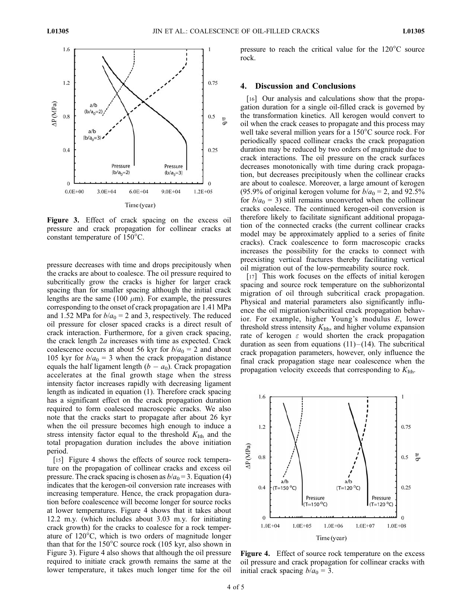

Figure 3. Effect of crack spacing on the excess oil pressure and crack propagation for collinear cracks at constant temperature of  $150^{\circ}$ C.

pressure decreases with time and drops precipitously when the cracks are about to coalesce. The oil pressure required to subcritically grow the cracks is higher for larger crack spacing than for smaller spacing although the initial crack lengths are the same (100  $\mu$ m). For example, the pressures corresponding to the onset of crack propagation are 1.41 MPa and 1.52 MPa for  $b/a<sub>0</sub> = 2$  and 3, respectively. The reduced oil pressure for closer spaced cracks is a direct result of crack interaction. Furthermore, for a given crack spacing, the crack length 2a increases with time as expected. Crack coalescence occurs at about 56 kyr for  $b/a_0 = 2$  and about 105 kyr for  $b/a_0 = 3$  when the crack propagation distance equals the half ligament length  $(b - a_0)$ . Crack propagation accelerates at the final growth stage when the stress intensity factor increases rapidly with decreasing ligament length as indicated in equation (1). Therefore crack spacing has a significant effect on the crack propagation duration required to form coalesced macroscopic cracks. We also note that the cracks start to propagate after about 26 kyr when the oil pressure becomes high enough to induce a stress intensity factor equal to the threshold  $K<sub>I</sub>th$  and the total propagation duration includes the above initiation period.

[15] Figure 4 shows the effects of source rock temperature on the propagation of collinear cracks and excess oil pressure. The crack spacing is chosen as  $b/a_0 = 3$ . Equation (4) indicates that the kerogen-oil conversion rate increases with increasing temperature. Hence, the crack propagation duration before coalescence will become longer for source rocks at lower temperatures. Figure 4 shows that it takes about 12.2 m.y. (which includes about 3.03 m.y. for initiating crack growth) for the cracks to coalesce for a rock temperature of  $120^{\circ}$ C, which is two orders of magnitude longer than that for the  $150^{\circ}$ C source rock (105 kyr, also shown in Figure 3). Figure 4 also shows that although the oil pressure required to initiate crack growth remains the same at the lower temperature, it takes much longer time for the oil

pressure to reach the critical value for the  $120^{\circ}$ C source rock.

# 4. Discussion and Conclusions

[16] Our analysis and calculations show that the propagation duration for a single oil-filled crack is governed by the transformation kinetics. All kerogen would convert to oil when the crack ceases to propagate and this process may well take several million years for a 150°C source rock. For periodically spaced collinear cracks the crack propagation duration may be reduced by two orders of magnitude due to crack interactions. The oil pressure on the crack surfaces decreases monotonically with time during crack propagation, but decreases precipitously when the collinear cracks are about to coalesce. Moreover, a large amount of kerogen (95.9% of original kerogen volume for  $b/a_0 = 2$ , and 92.5% for  $b/a_0 = 3$ ) still remains unconverted when the collinear cracks coalesce. The continued kerogen-oil conversion is therefore likely to facilitate significant additional propagation of the connected cracks (the current collinear cracks model may be approximately applied to a series of finite cracks). Crack coalescence to form macroscopic cracks increases the possibility for the cracks to connect with preexisting vertical fractures thereby facilitating vertical oil migration out of the low-permeability source rock.

[17] This work focuses on the effects of initial kerogen spacing and source rock temperature on the subhorizontal migration of oil through subcritical crack propagation. Physical and material parameters also significantly influence the oil migration/subcritical crack propagation behavior. For example, higher Young's modulus E, lower threshold stress intensity  $K<sub>I</sub>th$ , and higher volume expansion rate of kerogen  $\varepsilon$  would shorten the crack propagation duration as seen from equations  $(11)$ – $(14)$ . The subcritical crack propagation parameters, however, only influence the final crack propagation stage near coalescence when the propagation velocity exceeds that corresponding to  $K<sub>I</sub>th$ .



Figure 4. Effect of source rock temperature on the excess oil pressure and crack propagation for collinear cracks with initial crack spacing  $b/a_0 = 3$ .